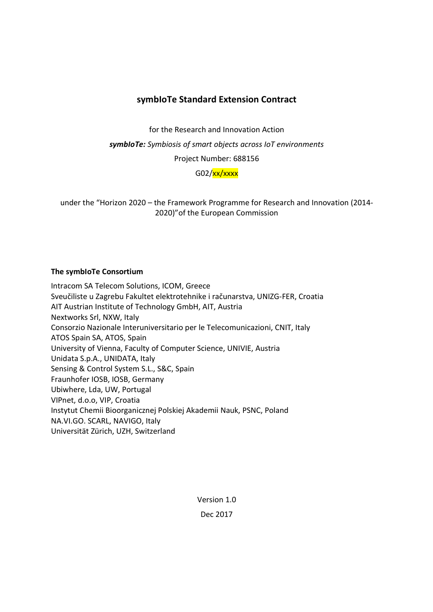# **symbIoTe Standard Extension Contract**

for the Research and Innovation Action

*symbIoTe: Symbiosis of smart objects across IoT environments* 

Project Number: 688156

G02/xx/xxxx

under the "Horizon 2020 – the Framework Programme for Research and Innovation (2014- 2020)"of the European Commission

## **The symbIoTe Consortium**

Intracom SA Telecom Solutions, ICOM, Greece Sveučiliste u Zagrebu Fakultet elektrotehnike i računarstva, UNIZG-FER, Croatia AIT Austrian Institute of Technology GmbH, AIT, Austria Nextworks Srl, NXW, Italy Consorzio Nazionale Interuniversitario per le Telecomunicazioni, CNIT, Italy ATOS Spain SA, ATOS, Spain University of Vienna, Faculty of Computer Science, UNIVIE, Austria Unidata S.p.A., UNIDATA, Italy Sensing & Control System S.L., S&C, Spain Fraunhofer IOSB, IOSB, Germany Ubiwhere, Lda, UW, Portugal VIPnet, d.o.o, VIP, Croatia Instytut Chemii Bioorganicznej Polskiej Akademii Nauk, PSNC, Poland NA.VI.GO. SCARL, NAVIGO, Italy Universität Zürich, UZH, Switzerland

Version 1.0

Dec 2017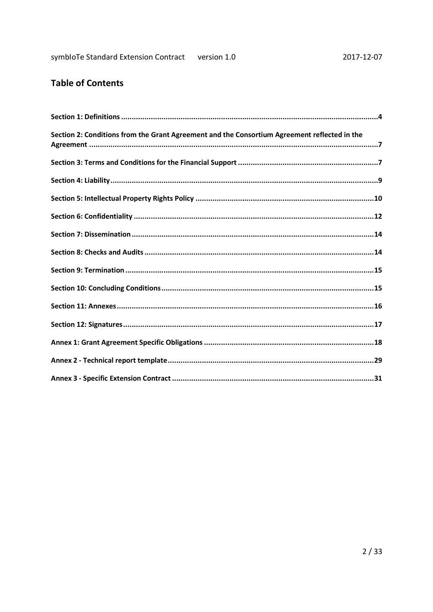# **Table of Contents**

| Section 2: Conditions from the Grant Agreement and the Consortium Agreement reflected in the |
|----------------------------------------------------------------------------------------------|
|                                                                                              |
|                                                                                              |
|                                                                                              |
|                                                                                              |
|                                                                                              |
|                                                                                              |
|                                                                                              |
|                                                                                              |
|                                                                                              |
|                                                                                              |
|                                                                                              |
|                                                                                              |
|                                                                                              |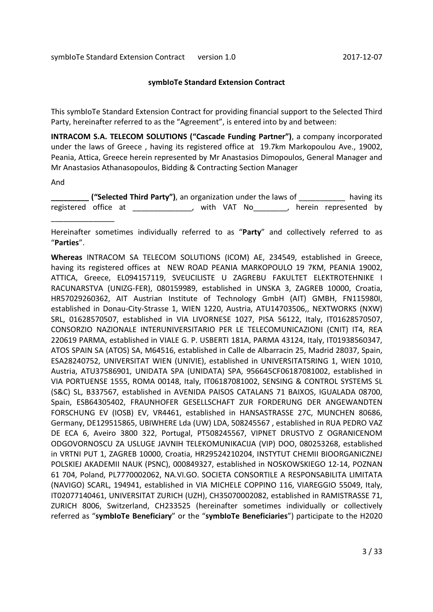#### **symbIoTe Standard Extension Contract**

This symbIoTe Standard Extension Contract for providing financial support to the Selected Third Party, hereinafter referred to as the "Agreement", is entered into by and between:

**INTRACOM S.A. TELECOM SOLUTIONS ("Cascade Funding Partner")**, a company incorporated under the laws of Greece , having its registered office at 19.7km Markopoulou Ave., 19002, Peania, Attica, Greece herein represented by Mr Anastasios Dimopoulos, General Manager and Mr Anastasios Athanasopoulos, Bidding & Contracting Section Manager

And

 $\overline{\phantom{a}}$  , where  $\overline{\phantom{a}}$ 

**\_\_\_\_\_\_\_\_\_ ("Selected Third Party")**, an organization under the laws of \_\_\_\_\_\_\_\_\_\_\_ having its registered office at \_\_\_\_\_\_\_\_\_\_\_\_\_\_, with VAT No\_\_\_\_\_\_\_\_, herein represented by

Hereinafter sometimes individually referred to as "**Party**" and collectively referred to as "**Parties**".

**Whereas** INTRACOM SA TELECOM SOLUTIONS (ICOM) AE, 234549, established in Greece, having its registered offices at NEW ROAD PEANIA MARKOPOULO 19 7KM, PEANIA 19002, ATTICA, Greece, EL094157119, SVEUCILISTE U ZAGREBU FAKULTET ELEKTROTEHNIKE I RACUNARSTVA (UNIZG-FER), 080159989, established in UNSKA 3, ZAGREB 10000, Croatia, HR57029260362, AIT Austrian Institute of Technology GmbH (AIT) GMBH, FN115980I, established in Donau-City-Strasse 1, WIEN 1220, Austria, ATU14703506,, NEXTWORKS (NXW) SRL, 01628570507, established in VIA LIVORNESE 1027, PISA 56122, Italy, IT01628570507, CONSORZIO NAZIONALE INTERUNIVERSITARIO PER LE TELECOMUNICAZIONI (CNIT) IT4, REA 220619 PARMA, established in VIALE G. P. USBERTI 181A, PARMA 43124, Italy, IT01938560347, ATOS SPAIN SA (ATOS) SA, M64516, established in Calle de Albarracin 25, Madrid 28037, Spain, ESA28240752, UNIVERSITAT WIEN (UNIVIE), established in UNIVERSITATSRING 1, WIEN 1010, Austria, ATU37586901, UNIDATA SPA (UNIDATA) SPA, 956645CF06187081002, established in VIA PORTUENSE 1555, ROMA 00148, Italy, IT06187081002, SENSING & CONTROL SYSTEMS SL (S&C) SL, B337567, established in AVENIDA PAISOS CATALANS 71 BAIXOS, IGUALADA 08700, Spain, ESB64305402, FRAUNHOFER GESELLSCHAFT ZUR FORDERUNG DER ANGEWANDTEN FORSCHUNG EV (IOSB) EV, VR4461, established in HANSASTRASSE 27C, MUNCHEN 80686, Germany, DE129515865, UBIWHERE Lda (UW) LDA, 508245567 , established in RUA PEDRO VAZ DE ECA 6, Aveiro 3800 322, Portugal, PT508245567, VIPNET DRUSTVO Z OGRANICENOM ODGOVORNOSCU ZA USLUGE JAVNIH TELEKOMUNIKACIJA (VIP) DOO, 080253268, established in VRTNI PUT 1, ZAGREB 10000, Croatia, HR29524210204, INSTYTUT CHEMII BIOORGANICZNEJ POLSKIEJ AKADEMII NAUK (PSNC), 000849327, established in NOSKOWSKIEGO 12-14, POZNAN 61 704, Poland, PL7770002062, NA.VI.GO. SOCIETA CONSORTILE A RESPONSABILITA LIMITATA (NAVIGO) SCARL, 194941, established in VIA MICHELE COPPINO 116, VIAREGGIO 55049, Italy, IT02077140461, UNIVERSITAT ZURICH (UZH), CH35070002082, established in RAMISTRASSE 71, ZURICH 8006, Switzerland, CH233525 (hereinafter sometimes individually or collectively referred as "**symbIoTe Beneficiary**" or the "**symbIoTe Beneficiaries**") participate to the H2020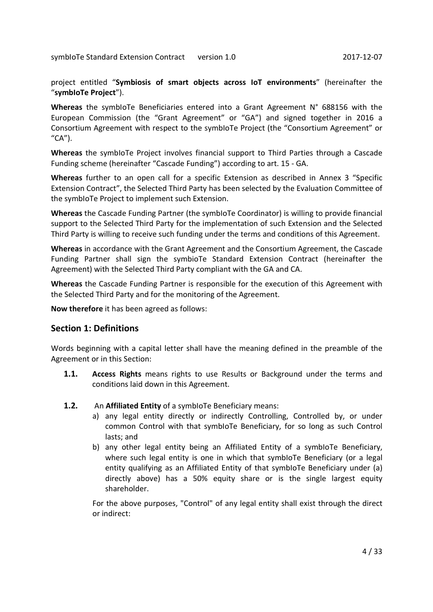project entitled "**Symbiosis of smart objects across IoT environments**" (hereinafter the "**symbIoTe Project**").

**Whereas** the symbIoTe Beneficiaries entered into a Grant Agreement N° 688156 with the European Commission (the "Grant Agreement" or "GA") and signed together in 2016 a Consortium Agreement with respect to the symbIoTe Project (the "Consortium Agreement" or "CA").

**Whereas** the symbIoTe Project involves financial support to Third Parties through a Cascade Funding scheme (hereinafter "Cascade Funding") according to art. 15 - GA.

**Whereas** further to an open call for a specific Extension as described in Annex 3 "Specific Extension Contract", the Selected Third Party has been selected by the Evaluation Committee of the symbIoTe Project to implement such Extension.

**Whereas** the Cascade Funding Partner (the symbIoTe Coordinator) is willing to provide financial support to the Selected Third Party for the implementation of such Extension and the Selected Third Party is willing to receive such funding under the terms and conditions of this Agreement.

**Whereas** in accordance with the Grant Agreement and the Consortium Agreement, the Cascade Funding Partner shall sign the symbioTe Standard Extension Contract (hereinafter the Agreement) with the Selected Third Party compliant with the GA and CA.

**Whereas** the Cascade Funding Partner is responsible for the execution of this Agreement with the Selected Third Party and for the monitoring of the Agreement.

**Now therefore** it has been agreed as follows:

## **Section 1: Definitions**

Words beginning with a capital letter shall have the meaning defined in the preamble of the Agreement or in this Section:

- **1.1. Access Rights** means rights to use Results or Background under the terms and conditions laid down in this Agreement.
- **1.2.** An **Affiliated Entity** of a symbIoTe Beneficiary means:
	- a) any legal entity directly or indirectly Controlling, Controlled by, or under common Control with that symbIoTe Beneficiary, for so long as such Control lasts; and
	- b) any other legal entity being an Affiliated Entity of a symbloTe Beneficiary, where such legal entity is one in which that symbioTe Beneficiary (or a legal entity qualifying as an Affiliated Entity of that symbIoTe Beneficiary under (a) directly above) has a 50% equity share or is the single largest equity shareholder.

For the above purposes, "Control" of any legal entity shall exist through the direct or indirect: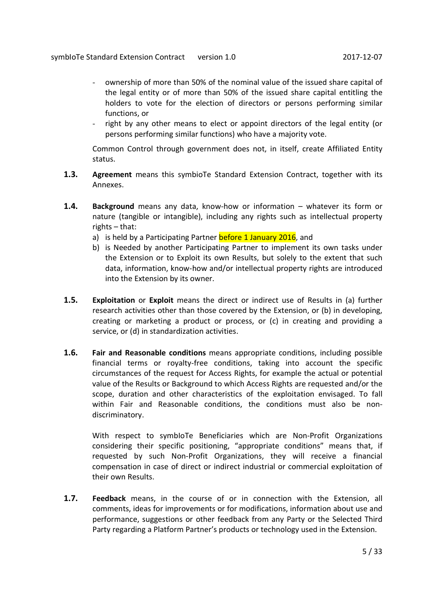- ownership of more than 50% of the nominal value of the issued share capital of the legal entity or of more than 50% of the issued share capital entitling the holders to vote for the election of directors or persons performing similar functions, or
- right by any other means to elect or appoint directors of the legal entity (or persons performing similar functions) who have a majority vote.

Common Control through government does not, in itself, create Affiliated Entity status.

- **1.3. Agreement** means this symbioTe Standard Extension Contract, together with its Annexes.
- **1.4. Background** means any data, know-how or information whatever its form or nature (tangible or intangible), including any rights such as intellectual property rights – that:
	- a) is held by a Participating Partner before 1 January 2016, and
	- b) is Needed by another Participating Partner to implement its own tasks under the Extension or to Exploit its own Results, but solely to the extent that such data, information, know-how and/or intellectual property rights are introduced into the Extension by its owner.
- **1.5. Exploitation** or **Exploit** means the direct or indirect use of Results in (a) further research activities other than those covered by the Extension, or (b) in developing, creating or marketing a product or process, or (c) in creating and providing a service, or (d) in standardization activities.
- **1.6. Fair and Reasonable conditions** means appropriate conditions, including possible financial terms or royalty-free conditions, taking into account the specific circumstances of the request for Access Rights, for example the actual or potential value of the Results or Background to which Access Rights are requested and/or the scope, duration and other characteristics of the exploitation envisaged. To fall within Fair and Reasonable conditions, the conditions must also be nondiscriminatory.

With respect to symbIoTe Beneficiaries which are Non-Profit Organizations considering their specific positioning, "appropriate conditions" means that, if requested by such Non-Profit Organizations, they will receive a financial compensation in case of direct or indirect industrial or commercial exploitation of their own Results.

**1.7. Feedback** means, in the course of or in connection with the Extension, all comments, ideas for improvements or for modifications, information about use and performance, suggestions or other feedback from any Party or the Selected Third Party regarding a Platform Partner's products or technology used in the Extension.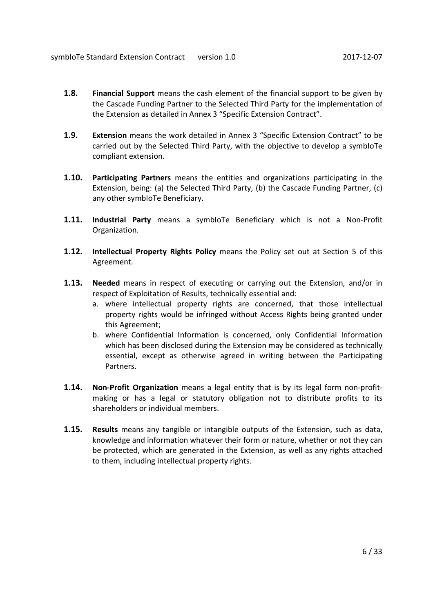- **1.8. Financial Support** means the cash element of the financial support to be given by the Cascade Funding Partner to the Selected Third Party for the implementation of the Extension as detailed in Annex 3 "Specific Extension Contract".
- **1.9. Extension** means the work detailed in Annex 3 "Specific Extension Contract" to be carried out by the Selected Third Party, with the objective to develop a symbIoTe compliant extension.
- **1.10. Participating Partners** means the entities and organizations participating in the Extension, being: (a) the Selected Third Party, (b) the Cascade Funding Partner, (c) any other symbIoTe Beneficiary.
- **1.11. Industrial Party** means a symbIoTe Beneficiary which is not a Non-Profit Organization.
- **1.12. Intellectual Property Rights Policy** means the Policy set out at Section 5 of this Agreement.
- **1.13. Needed** means in respect of executing or carrying out the Extension, and/or in respect of Exploitation of Results, technically essential and:
	- a. where intellectual property rights are concerned, that those intellectual property rights would be infringed without Access Rights being granted under this Agreement;
	- b. where Confidential Information is concerned, only Confidential Information which has been disclosed during the Extension may be considered as technically essential, except as otherwise agreed in writing between the Participating Partners.
- **1.14. Non-Profit Organization** means a legal entity that is by its legal form non-profitmaking or has a legal or statutory obligation not to distribute profits to its shareholders or individual members.
- **1.15. Results** means any tangible or intangible outputs of the Extension, such as data, knowledge and information whatever their form or nature, whether or not they can be protected, which are generated in the Extension, as well as any rights attached to them, including intellectual property rights.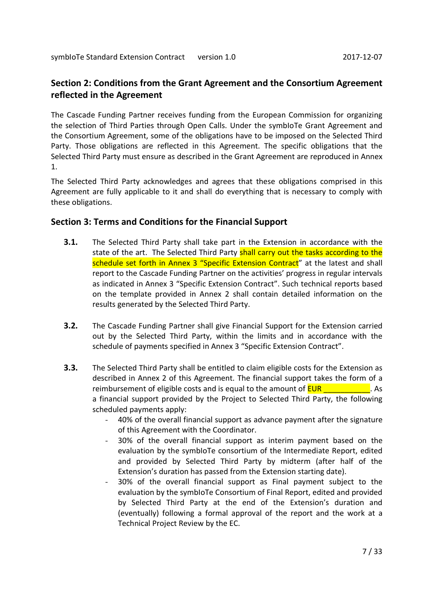# **Section 2: Conditions from the Grant Agreement and the Consortium Agreement reflected in the Agreement**

The Cascade Funding Partner receives funding from the European Commission for organizing the selection of Third Parties through Open Calls. Under the symbIoTe Grant Agreement and the Consortium Agreement, some of the obligations have to be imposed on the Selected Third Party. Those obligations are reflected in this Agreement. The specific obligations that the Selected Third Party must ensure as described in the Grant Agreement are reproduced in Annex 1.

The Selected Third Party acknowledges and agrees that these obligations comprised in this Agreement are fully applicable to it and shall do everything that is necessary to comply with these obligations.

## **Section 3: Terms and Conditions for the Financial Support**

- **3.1.** The Selected Third Party shall take part in the Extension in accordance with the state of the art. The Selected Third Party shall carry out the tasks according to the schedule set forth in Annex 3 "Specific Extension Contract" at the latest and shall report to the Cascade Funding Partner on the activities' progress in regular intervals as indicated in Annex 3 "Specific Extension Contract". Such technical reports based on the template provided in Annex 2 shall contain detailed information on the results generated by the Selected Third Party.
- **3.2.** The Cascade Funding Partner shall give Financial Support for the Extension carried out by the Selected Third Party, within the limits and in accordance with the schedule of payments specified in Annex 3 "Specific Extension Contract".
- **3.3.** The Selected Third Party shall be entitled to claim eligible costs for the Extension as described in Annex 2 of this Agreement. The financial support takes the form of a reimbursement of eligible costs and is equal to the amount of  $EUR$  \_\_\_\_\_\_\_\_\_\_\_\_. As a financial support provided by the Project to Selected Third Party, the following scheduled payments apply:
	- 40% of the overall financial support as advance payment after the signature of this Agreement with the Coordinator.
	- 30% of the overall financial support as interim payment based on the evaluation by the symbIoTe consortium of the Intermediate Report, edited and provided by Selected Third Party by midterm (after half of the Extension's duration has passed from the Extension starting date).
	- 30% of the overall financial support as Final payment subject to the evaluation by the symbIoTe Consortium of Final Report, edited and provided by Selected Third Party at the end of the Extension's duration and (eventually) following a formal approval of the report and the work at a Technical Project Review by the EC.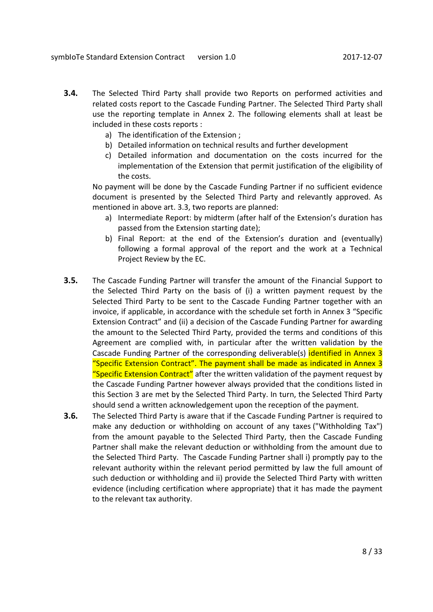- **3.4.** The Selected Third Party shall provide two Reports on performed activities and related costs report to the Cascade Funding Partner. The Selected Third Party shall use the reporting template in Annex 2. The following elements shall at least be included in these costs reports :
	- a) The identification of the Extension ;
	- b) Detailed information on technical results and further development
	- c) Detailed information and documentation on the costs incurred for the implementation of the Extension that permit justification of the eligibility of the costs.

No payment will be done by the Cascade Funding Partner if no sufficient evidence document is presented by the Selected Third Party and relevantly approved. As mentioned in above art. 3.3, two reports are planned:

- a) Intermediate Report: by midterm (after half of the Extension's duration has passed from the Extension starting date);
- b) Final Report: at the end of the Extension's duration and (eventually) following a formal approval of the report and the work at a Technical Project Review by the EC.
- **3.5.** The Cascade Funding Partner will transfer the amount of the Financial Support to the Selected Third Party on the basis of (i) a written payment request by the Selected Third Party to be sent to the Cascade Funding Partner together with an invoice, if applicable, in accordance with the schedule set forth in Annex 3 "Specific Extension Contract" and (ii) a decision of the Cascade Funding Partner for awarding the amount to the Selected Third Party, provided the terms and conditions of this Agreement are complied with, in particular after the written validation by the Cascade Funding Partner of the corresponding deliverable(s) identified in Annex 3 "Specific Extension Contract". The payment shall be made as indicated in Annex 3 "Specific Extension Contract" after the written validation of the payment request by the Cascade Funding Partner however always provided that the conditions listed in this Section 3 are met by the Selected Third Party. In turn, the Selected Third Party should send a written acknowledgement upon the reception of the payment.
- **3.6.** The Selected Third Party is aware that if the Cascade Funding Partner is required to make any deduction or withholding on account of any taxes ("Withholding Tax") from the amount payable to the Selected Third Party, then the Cascade Funding Partner shall make the relevant deduction or withholding from the amount due to the Selected Third Party. The Cascade Funding Partner shall i) promptly pay to the relevant authority within the relevant period permitted by law the full amount of such deduction or withholding and ii) provide the Selected Third Party with written evidence (including certification where appropriate) that it has made the payment to the relevant tax authority.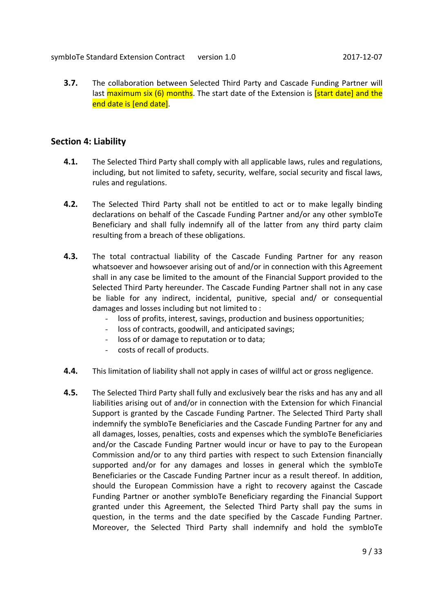symbIoTe Standard Extension Contract version 1.0 2017-12-07

**3.7.** The collaboration between Selected Third Party and Cascade Funding Partner will last maximum six (6) months. The start date of the Extension is **[start date] and the** end date is [end date].

## **Section 4: Liability**

- **4.1.** The Selected Third Party shall comply with all applicable laws, rules and regulations, including, but not limited to safety, security, welfare, social security and fiscal laws, rules and regulations.
- **4.2.** The Selected Third Party shall not be entitled to act or to make legally binding declarations on behalf of the Cascade Funding Partner and/or any other symbIoTe Beneficiary and shall fully indemnify all of the latter from any third party claim resulting from a breach of these obligations.
- **4.3.** The total contractual liability of the Cascade Funding Partner for any reason whatsoever and howsoever arising out of and/or in connection with this Agreement shall in any case be limited to the amount of the Financial Support provided to the Selected Third Party hereunder. The Cascade Funding Partner shall not in any case be liable for any indirect, incidental, punitive, special and/ or consequential damages and losses including but not limited to :
	- loss of profits, interest, savings, production and business opportunities;
	- loss of contracts, goodwill, and anticipated savings;
	- loss of or damage to reputation or to data;
	- costs of recall of products.
- **4.4.** This limitation of liability shall not apply in cases of willful act or gross negligence.
- **4.5.** The Selected Third Party shall fully and exclusively bear the risks and has any and all liabilities arising out of and/or in connection with the Extension for which Financial Support is granted by the Cascade Funding Partner. The Selected Third Party shall indemnify the symbIoTe Beneficiaries and the Cascade Funding Partner for any and all damages, losses, penalties, costs and expenses which the symbIoTe Beneficiaries and/or the Cascade Funding Partner would incur or have to pay to the European Commission and/or to any third parties with respect to such Extension financially supported and/or for any damages and losses in general which the symbIoTe Beneficiaries or the Cascade Funding Partner incur as a result thereof. In addition, should the European Commission have a right to recovery against the Cascade Funding Partner or another symbIoTe Beneficiary regarding the Financial Support granted under this Agreement, the Selected Third Party shall pay the sums in question, in the terms and the date specified by the Cascade Funding Partner. Moreover, the Selected Third Party shall indemnify and hold the symbIoTe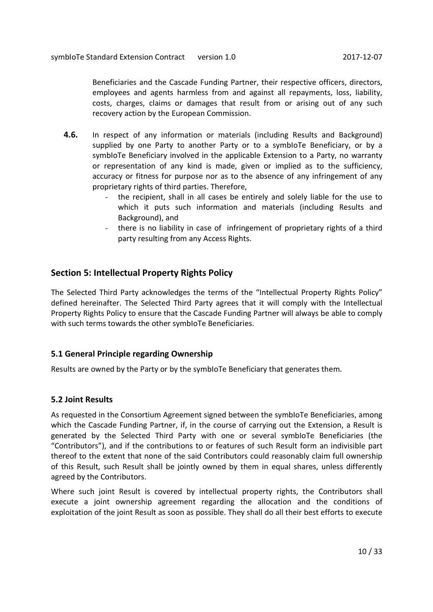Beneficiaries and the Cascade Funding Partner, their respective officers, directors, employees and agents harmless from and against all repayments, loss, liability, costs, charges, claims or damages that result from or arising out of any such recovery action by the European Commission.

- **4.6.** In respect of any information or materials (including Results and Background) supplied by one Party to another Party or to a symbIoTe Beneficiary, or by a symbIoTe Beneficiary involved in the applicable Extension to a Party, no warranty or representation of any kind is made, given or implied as to the sufficiency, accuracy or fitness for purpose nor as to the absence of any infringement of any proprietary rights of third parties. Therefore,
	- the recipient, shall in all cases be entirely and solely liable for the use to which it puts such information and materials (including Results and Background), and
	- there is no liability in case of infringement of proprietary rights of a third party resulting from any Access Rights.

# **Section 5: Intellectual Property Rights Policy**

The Selected Third Party acknowledges the terms of the "Intellectual Property Rights Policy" defined hereinafter. The Selected Third Party agrees that it will comply with the Intellectual Property Rights Policy to ensure that the Cascade Funding Partner will always be able to comply with such terms towards the other symbIoTe Beneficiaries.

## **5.1 General Principle regarding Ownership**

Results are owned by the Party or by the symbIoTe Beneficiary that generates them.

## **5.2 Joint Results**

As requested in the Consortium Agreement signed between the symbIoTe Beneficiaries, among which the Cascade Funding Partner, if, in the course of carrying out the Extension, a Result is generated by the Selected Third Party with one or several symbIoTe Beneficiaries (the "Contributors"), and if the contributions to or features of such Result form an indivisible part thereof to the extent that none of the said Contributors could reasonably claim full ownership of this Result, such Result shall be jointly owned by them in equal shares, unless differently agreed by the Contributors.

Where such joint Result is covered by intellectual property rights, the Contributors shall execute a joint ownership agreement regarding the allocation and the conditions of exploitation of the joint Result as soon as possible. They shall do all their best efforts to execute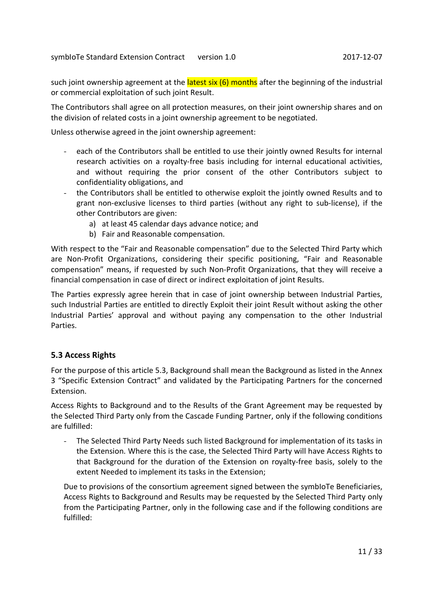such joint ownership agreement at the **latest six (6) months** after the beginning of the industrial or commercial exploitation of such joint Result.

The Contributors shall agree on all protection measures, on their joint ownership shares and on the division of related costs in a joint ownership agreement to be negotiated.

Unless otherwise agreed in the joint ownership agreement:

- each of the Contributors shall be entitled to use their jointly owned Results for internal research activities on a royalty-free basis including for internal educational activities, and without requiring the prior consent of the other Contributors subject to confidentiality obligations, and
- the Contributors shall be entitled to otherwise exploit the jointly owned Results and to grant non-exclusive licenses to third parties (without any right to sub-license), if the other Contributors are given:
	- a) at least 45 calendar days advance notice; and
	- b) Fair and Reasonable compensation.

With respect to the "Fair and Reasonable compensation" due to the Selected Third Party which are Non-Profit Organizations, considering their specific positioning, "Fair and Reasonable compensation" means, if requested by such Non-Profit Organizations, that they will receive a financial compensation in case of direct or indirect exploitation of joint Results.

The Parties expressly agree herein that in case of joint ownership between Industrial Parties, such Industrial Parties are entitled to directly Exploit their joint Result without asking the other Industrial Parties' approval and without paying any compensation to the other Industrial Parties.

## **5.3 Access Rights**

For the purpose of this article 5.3, Background shall mean the Background as listed in the Annex 3 "Specific Extension Contract" and validated by the Participating Partners for the concerned Extension.

Access Rights to Background and to the Results of the Grant Agreement may be requested by the Selected Third Party only from the Cascade Funding Partner, only if the following conditions are fulfilled:

- The Selected Third Party Needs such listed Background for implementation of its tasks in the Extension. Where this is the case, the Selected Third Party will have Access Rights to that Background for the duration of the Extension on royalty-free basis, solely to the extent Needed to implement its tasks in the Extension;

Due to provisions of the consortium agreement signed between the symbioTe Beneficiaries, Access Rights to Background and Results may be requested by the Selected Third Party only from the Participating Partner, only in the following case and if the following conditions are fulfilled: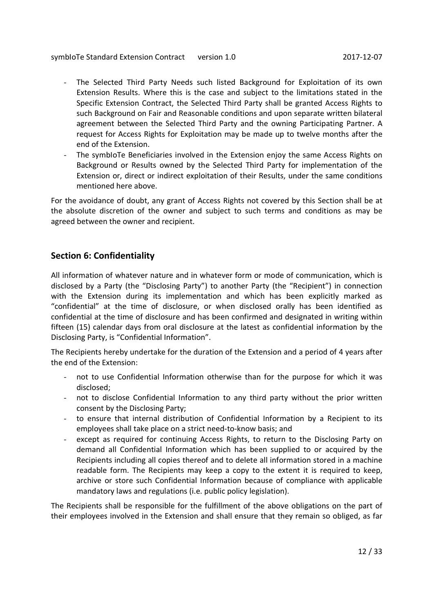symbIoTe Standard Extension Contract version 1.0 2017-12-07

- The Selected Third Party Needs such listed Background for Exploitation of its own Extension Results. Where this is the case and subject to the limitations stated in the Specific Extension Contract, the Selected Third Party shall be granted Access Rights to such Background on Fair and Reasonable conditions and upon separate written bilateral agreement between the Selected Third Party and the owning Participating Partner. A request for Access Rights for Exploitation may be made up to twelve months after the end of the Extension.
- The symbIoTe Beneficiaries involved in the Extension enjoy the same Access Rights on Background or Results owned by the Selected Third Party for implementation of the Extension or, direct or indirect exploitation of their Results, under the same conditions mentioned here above.

For the avoidance of doubt, any grant of Access Rights not covered by this Section shall be at the absolute discretion of the owner and subject to such terms and conditions as may be agreed between the owner and recipient.

# **Section 6: Confidentiality**

All information of whatever nature and in whatever form or mode of communication, which is disclosed by a Party (the "Disclosing Party") to another Party (the "Recipient") in connection with the Extension during its implementation and which has been explicitly marked as "confidential" at the time of disclosure, or when disclosed orally has been identified as confidential at the time of disclosure and has been confirmed and designated in writing within fifteen (15) calendar days from oral disclosure at the latest as confidential information by the Disclosing Party, is "Confidential Information".

The Recipients hereby undertake for the duration of the Extension and a period of 4 years after the end of the Extension:

- not to use Confidential Information otherwise than for the purpose for which it was disclosed;
- not to disclose Confidential Information to any third party without the prior written consent by the Disclosing Party;
- to ensure that internal distribution of Confidential Information by a Recipient to its employees shall take place on a strict need-to-know basis; and
- except as required for continuing Access Rights, to return to the Disclosing Party on demand all Confidential Information which has been supplied to or acquired by the Recipients including all copies thereof and to delete all information stored in a machine readable form. The Recipients may keep a copy to the extent it is required to keep, archive or store such Confidential Information because of compliance with applicable mandatory laws and regulations (i.e. public policy legislation).

The Recipients shall be responsible for the fulfillment of the above obligations on the part of their employees involved in the Extension and shall ensure that they remain so obliged, as far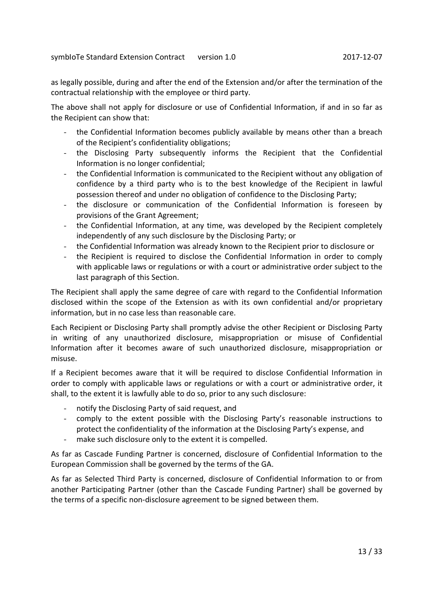as legally possible, during and after the end of the Extension and/or after the termination of the contractual relationship with the employee or third party.

The above shall not apply for disclosure or use of Confidential Information, if and in so far as the Recipient can show that:

- the Confidential Information becomes publicly available by means other than a breach of the Recipient's confidentiality obligations;
- the Disclosing Party subsequently informs the Recipient that the Confidential Information is no longer confidential;
- the Confidential Information is communicated to the Recipient without any obligation of confidence by a third party who is to the best knowledge of the Recipient in lawful possession thereof and under no obligation of confidence to the Disclosing Party;
- the disclosure or communication of the Confidential Information is foreseen by provisions of the Grant Agreement;
- the Confidential Information, at any time, was developed by the Recipient completely independently of any such disclosure by the Disclosing Party; or
- the Confidential Information was already known to the Recipient prior to disclosure or
- the Recipient is required to disclose the Confidential Information in order to comply with applicable laws or regulations or with a court or administrative order subject to the last paragraph of this Section.

The Recipient shall apply the same degree of care with regard to the Confidential Information disclosed within the scope of the Extension as with its own confidential and/or proprietary information, but in no case less than reasonable care.

Each Recipient or Disclosing Party shall promptly advise the other Recipient or Disclosing Party in writing of any unauthorized disclosure, misappropriation or misuse of Confidential Information after it becomes aware of such unauthorized disclosure, misappropriation or misuse.

If a Recipient becomes aware that it will be required to disclose Confidential Information in order to comply with applicable laws or regulations or with a court or administrative order, it shall, to the extent it is lawfully able to do so, prior to any such disclosure:

- notify the Disclosing Party of said request, and
- comply to the extent possible with the Disclosing Party's reasonable instructions to protect the confidentiality of the information at the Disclosing Party's expense, and
- make such disclosure only to the extent it is compelled.

As far as Cascade Funding Partner is concerned, disclosure of Confidential Information to the European Commission shall be governed by the terms of the GA.

As far as Selected Third Party is concerned, disclosure of Confidential Information to or from another Participating Partner (other than the Cascade Funding Partner) shall be governed by the terms of a specific non-disclosure agreement to be signed between them.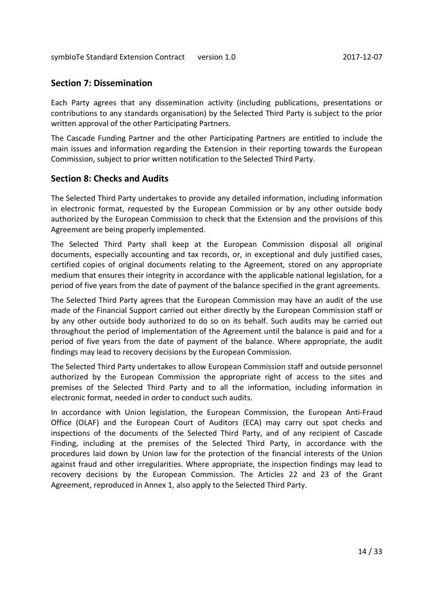## **Section 7: Dissemination**

Each Party agrees that any dissemination activity (including publications, presentations or contributions to any standards organisation) by the Selected Third Party is subject to the prior written approval of the other Participating Partners.

The Cascade Funding Partner and the other Participating Partners are entitled to include the main issues and information regarding the Extension in their reporting towards the European Commission, subject to prior written notification to the Selected Third Party.

## **Section 8: Checks and Audits**

The Selected Third Party undertakes to provide any detailed information, including information in electronic format, requested by the European Commission or by any other outside body authorized by the European Commission to check that the Extension and the provisions of this Agreement are being properly implemented.

The Selected Third Party shall keep at the European Commission disposal all original documents, especially accounting and tax records, or, in exceptional and duly justified cases, certified copies of original documents relating to the Agreement, stored on any appropriate medium that ensures their integrity in accordance with the applicable national legislation, for a period of five years from the date of payment of the balance specified in the grant agreements.

The Selected Third Party agrees that the European Commission may have an audit of the use made of the Financial Support carried out either directly by the European Commission staff or by any other outside body authorized to do so on its behalf. Such audits may be carried out throughout the period of implementation of the Agreement until the balance is paid and for a period of five years from the date of payment of the balance. Where appropriate, the audit findings may lead to recovery decisions by the European Commission.

The Selected Third Party undertakes to allow European Commission staff and outside personnel authorized by the European Commission the appropriate right of access to the sites and premises of the Selected Third Party and to all the information, including information in electronic format, needed in order to conduct such audits.

In accordance with Union legislation, the European Commission, the European Anti-Fraud Office (OLAF) and the European Court of Auditors (ECA) may carry out spot checks and inspections of the documents of the Selected Third Party, and of any recipient of Cascade Finding, including at the premises of the Selected Third Party, in accordance with the procedures laid down by Union law for the protection of the financial interests of the Union against fraud and other irregularities. Where appropriate, the inspection findings may lead to recovery decisions by the European Commission. The Articles 22 and 23 of the Grant Agreement, reproduced in Annex 1, also apply to the Selected Third Party.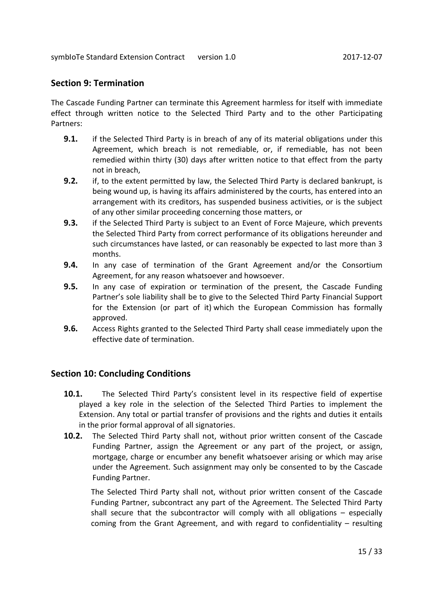## **Section 9: Termination**

The Cascade Funding Partner can terminate this Agreement harmless for itself with immediate effect through written notice to the Selected Third Party and to the other Participating Partners:

- **9.1.** if the Selected Third Party is in breach of any of its material obligations under this Agreement, which breach is not remediable, or, if remediable, has not been remedied within thirty (30) days after written notice to that effect from the party not in breach,
- **9.2.** if, to the extent permitted by law, the Selected Third Party is declared bankrupt, is being wound up, is having its affairs administered by the courts, has entered into an arrangement with its creditors, has suspended business activities, or is the subject of any other similar proceeding concerning those matters, or
- **9.3.** if the Selected Third Party is subject to an Event of Force Majeure, which prevents the Selected Third Party from correct performance of its obligations hereunder and such circumstances have lasted, or can reasonably be expected to last more than 3 months.
- **9.4.** In any case of termination of the Grant Agreement and/or the Consortium Agreement, for any reason whatsoever and howsoever.
- **9.5.** In any case of expiration or termination of the present, the Cascade Funding Partner's sole liability shall be to give to the Selected Third Party Financial Support for the Extension (or part of it) which the European Commission has formally approved.
- **9.6.** Access Rights granted to the Selected Third Party shall cease immediately upon the effective date of termination.

## **Section 10: Concluding Conditions**

- **10.1.** The Selected Third Party's consistent level in its respective field of expertise played a key role in the selection of the Selected Third Parties to implement the Extension. Any total or partial transfer of provisions and the rights and duties it entails in the prior formal approval of all signatories.
- **10.2.** The Selected Third Party shall not, without prior written consent of the Cascade Funding Partner, assign the Agreement or any part of the project, or assign, mortgage, charge or encumber any benefit whatsoever arising or which may arise under the Agreement. Such assignment may only be consented to by the Cascade Funding Partner.

The Selected Third Party shall not, without prior written consent of the Cascade Funding Partner, subcontract any part of the Agreement. The Selected Third Party shall secure that the subcontractor will comply with all obligations – especially coming from the Grant Agreement, and with regard to confidentiality – resulting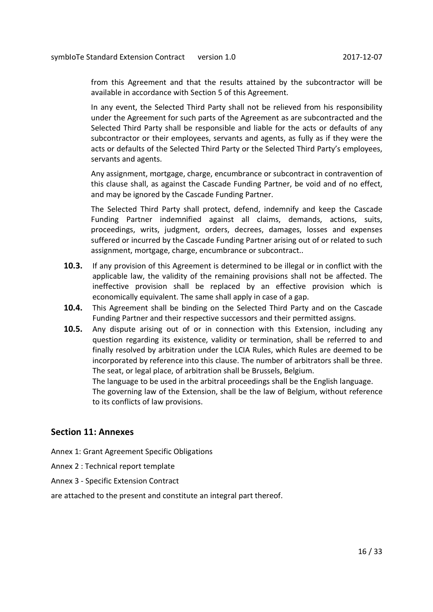from this Agreement and that the results attained by the subcontractor will be available in accordance with Section 5 of this Agreement.

In any event, the Selected Third Party shall not be relieved from his responsibility under the Agreement for such parts of the Agreement as are subcontracted and the Selected Third Party shall be responsible and liable for the acts or defaults of any subcontractor or their employees, servants and agents, as fully as if they were the acts or defaults of the Selected Third Party or the Selected Third Party's employees, servants and agents.

Any assignment, mortgage, charge, encumbrance or subcontract in contravention of this clause shall, as against the Cascade Funding Partner, be void and of no effect, and may be ignored by the Cascade Funding Partner.

The Selected Third Party shall protect, defend, indemnify and keep the Cascade Funding Partner indemnified against all claims, demands, actions, suits, proceedings, writs, judgment, orders, decrees, damages, losses and expenses suffered or incurred by the Cascade Funding Partner arising out of or related to such assignment, mortgage, charge, encumbrance or subcontract..

- **10.3.** If any provision of this Agreement is determined to be illegal or in conflict with the applicable law, the validity of the remaining provisions shall not be affected. The ineffective provision shall be replaced by an effective provision which is economically equivalent. The same shall apply in case of a gap.
- **10.4.** This Agreement shall be binding on the Selected Third Party and on the Cascade Funding Partner and their respective successors and their permitted assigns.
- **10.5.** Any dispute arising out of or in connection with this Extension, including any question regarding its existence, validity or termination, shall be referred to and finally resolved by arbitration under the LCIA Rules, which Rules are deemed to be incorporated by reference into this clause. The number of arbitrators shall be three. The seat, or legal place, of arbitration shall be Brussels, Belgium.

The language to be used in the arbitral proceedings shall be the English language. The governing law of the Extension, shall be the law of Belgium, without reference to its conflicts of law provisions.

## **Section 11: Annexes**

Annex 1: Grant Agreement Specific Obligations

- Annex 2 : Technical report template
- Annex 3 Specific Extension Contract

are attached to the present and constitute an integral part thereof.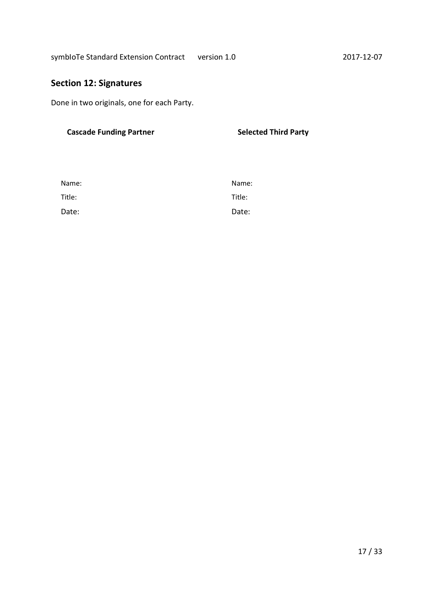# **Section 12: Signatures**

Done in two originals, one for each Party.

# Cascade Funding Partner **Selected Third Party Selected Third Party**

| Name:  | Name:  |
|--------|--------|
| Title: | Title: |
| Date:  | Date:  |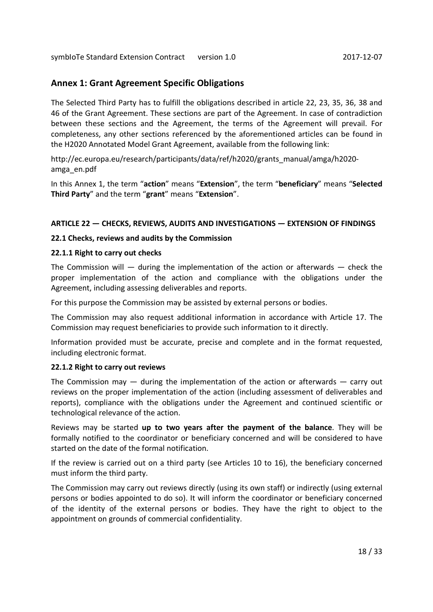# **Annex 1: Grant Agreement Specific Obligations**

The Selected Third Party has to fulfill the obligations described in article 22, 23, 35, 36, 38 and 46 of the Grant Agreement. These sections are part of the Agreement. In case of contradiction between these sections and the Agreement, the terms of the Agreement will prevail. For completeness, any other sections referenced by the aforementioned articles can be found in the H2020 Annotated Model Grant Agreement, available from the following link:

http://ec.europa.eu/research/participants/data/ref/h2020/grants\_manual/amga/h2020 amga\_en.pdf

In this Annex 1, the term "**action**" means "**Extension**", the term "**beneficiary**" means "**Selected Third Party**" and the term "**grant**" means "**Extension**".

## **ARTICLE 22 — CHECKS, REVIEWS, AUDITS AND INVESTIGATIONS — EXTENSION OF FINDINGS**

## **22.1 Checks, reviews and audits by the Commission**

## **22.1.1 Right to carry out checks**

The Commission will  $-$  during the implementation of the action or afterwards  $-$  check the proper implementation of the action and compliance with the obligations under the Agreement, including assessing deliverables and reports.

For this purpose the Commission may be assisted by external persons or bodies.

The Commission may also request additional information in accordance with Article 17. The Commission may request beneficiaries to provide such information to it directly.

Information provided must be accurate, precise and complete and in the format requested, including electronic format.

## **22.1.2 Right to carry out reviews**

The Commission may  $-$  during the implementation of the action or afterwards  $-$  carry out reviews on the proper implementation of the action (including assessment of deliverables and reports), compliance with the obligations under the Agreement and continued scientific or technological relevance of the action.

Reviews may be started **up to two years after the payment of the balance**. They will be formally notified to the coordinator or beneficiary concerned and will be considered to have started on the date of the formal notification.

If the review is carried out on a third party (see Articles 10 to 16), the beneficiary concerned must inform the third party.

The Commission may carry out reviews directly (using its own staff) or indirectly (using external persons or bodies appointed to do so). It will inform the coordinator or beneficiary concerned of the identity of the external persons or bodies. They have the right to object to the appointment on grounds of commercial confidentiality.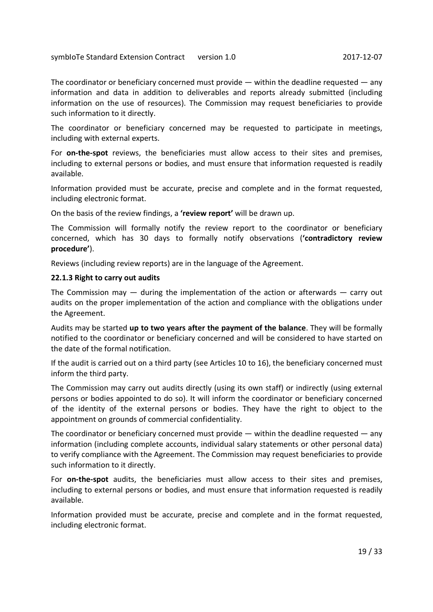The coordinator or beneficiary concerned must provide — within the deadline requested — any information and data in addition to deliverables and reports already submitted (including information on the use of resources). The Commission may request beneficiaries to provide such information to it directly.

The coordinator or beneficiary concerned may be requested to participate in meetings, including with external experts.

For **on-the-spot** reviews, the beneficiaries must allow access to their sites and premises, including to external persons or bodies, and must ensure that information requested is readily available.

Information provided must be accurate, precise and complete and in the format requested, including electronic format.

On the basis of the review findings, a **'review report'** will be drawn up.

The Commission will formally notify the review report to the coordinator or beneficiary concerned, which has 30 days to formally notify observations (**'contradictory review procedure'**).

Reviews (including review reports) are in the language of the Agreement.

#### **22.1.3 Right to carry out audits**

The Commission may  $-$  during the implementation of the action or afterwards  $-$  carry out audits on the proper implementation of the action and compliance with the obligations under the Agreement.

Audits may be started **up to two years after the payment of the balance**. They will be formally notified to the coordinator or beneficiary concerned and will be considered to have started on the date of the formal notification.

If the audit is carried out on a third party (see Articles 10 to 16), the beneficiary concerned must inform the third party.

The Commission may carry out audits directly (using its own staff) or indirectly (using external persons or bodies appointed to do so). It will inform the coordinator or beneficiary concerned of the identity of the external persons or bodies. They have the right to object to the appointment on grounds of commercial confidentiality.

The coordinator or beneficiary concerned must provide  $-$  within the deadline requested  $-$  any information (including complete accounts, individual salary statements or other personal data) to verify compliance with the Agreement. The Commission may request beneficiaries to provide such information to it directly.

For **on-the-spot** audits, the beneficiaries must allow access to their sites and premises, including to external persons or bodies, and must ensure that information requested is readily available.

Information provided must be accurate, precise and complete and in the format requested, including electronic format.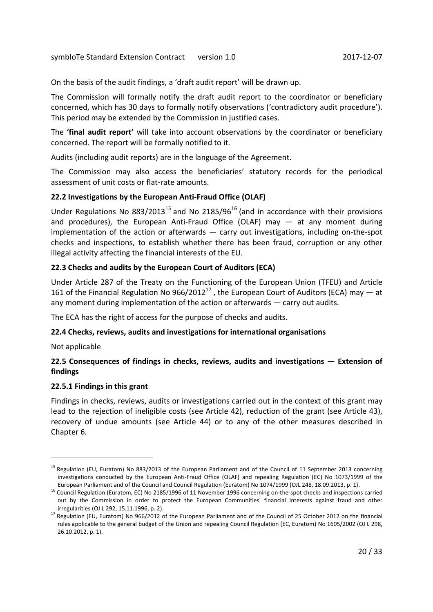On the basis of the audit findings, a 'draft audit report' will be drawn up.

The Commission will formally notify the draft audit report to the coordinator or beneficiary concerned, which has 30 days to formally notify observations ('contradictory audit procedure'). This period may be extended by the Commission in justified cases.

The **'final audit report'** will take into account observations by the coordinator or beneficiary concerned. The report will be formally notified to it.

Audits (including audit reports) are in the language of the Agreement.

The Commission may also access the beneficiaries' statutory records for the periodical assessment of unit costs or flat-rate amounts.

## **22.2 Investigations by the European Anti-Fraud Office (OLAF)**

Under Regulations No  $883/2013^{15}$  and No  $2185/96^{16}$  (and in accordance with their provisions and procedures), the European Anti-Fraud Office (OLAF) may  $-$  at any moment during implementation of the action or afterwards — carry out investigations, including on-the-spot checks and inspections, to establish whether there has been fraud, corruption or any other illegal activity affecting the financial interests of the EU.

## **22.3 Checks and audits by the European Court of Auditors (ECA)**

Under Article 287 of the Treaty on the Functioning of the European Union (TFEU) and Article 161 of the Financial Regulation No  $966/2012^{17}$ , the European Court of Auditors (ECA) may  $-$  at any moment during implementation of the action or afterwards — carry out audits.

The ECA has the right of access for the purpose of checks and audits.

## **22.4 Checks, reviews, audits and investigations for international organisations**

Not applicable

1

## **22.5 Consequences of findings in checks, reviews, audits and investigations — Extension of findings**

## **22.5.1 Findings in this grant**

Findings in checks, reviews, audits or investigations carried out in the context of this grant may lead to the rejection of ineligible costs (see Article 42), reduction of the grant (see Article 43), recovery of undue amounts (see Article 44) or to any of the other measures described in Chapter 6.

<sup>&</sup>lt;sup>15</sup> Regulation (EU, Euratom) No 883/2013 of the European Parliament and of the Council of 11 September 2013 concerning investigations conducted by the European Anti-Fraud Office (OLAF) and repealing Regulation (EC) No 1073/1999 of the European Parliament and of the Council and Council Regulation (Euratom) No 1074/1999 (OJL 248, 18.09.2013, p. 1).

<sup>16</sup> Council Regulation (Euratom, EC) No 2185/1996 of 11 November 1996 concerning on-the-spot checks and inspections carried out by the Commission in order to protect the European Communities' financial interests against fraud and other irregularities (OJ L 292, 15.11.1996, p. 2).

<sup>17</sup> Regulation (EU, Euratom) No 966/2012 of the European Parliament and of the Council of 25 October 2012 on the financial rules applicable to the general budget of the Union and repealing Council Regulation (EC, Euratom) No 1605/2002 (OJ L 298, 26.10.2012, p. 1).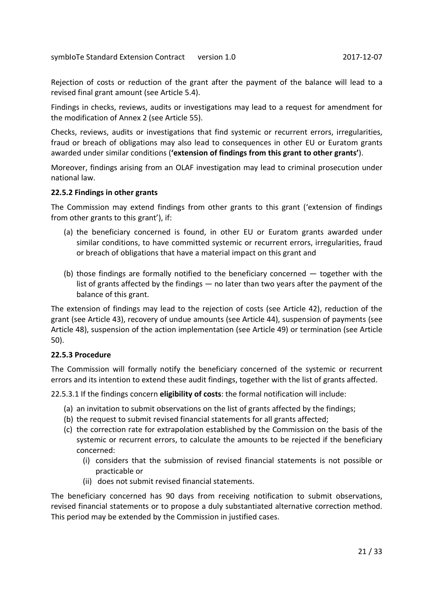Rejection of costs or reduction of the grant after the payment of the balance will lead to a revised final grant amount (see Article 5.4).

Findings in checks, reviews, audits or investigations may lead to a request for amendment for the modification of Annex 2 (see Article 55).

Checks, reviews, audits or investigations that find systemic or recurrent errors, irregularities, fraud or breach of obligations may also lead to consequences in other EU or Euratom grants awarded under similar conditions (**'extension of findings from this grant to other grants'**).

Moreover, findings arising from an OLAF investigation may lead to criminal prosecution under national law.

#### **22.5.2 Findings in other grants**

The Commission may extend findings from other grants to this grant ('extension of findings from other grants to this grant'), if:

- (a) the beneficiary concerned is found, in other EU or Euratom grants awarded under similar conditions, to have committed systemic or recurrent errors, irregularities, fraud or breach of obligations that have a material impact on this grant and
- (b) those findings are formally notified to the beneficiary concerned together with the list of grants affected by the findings — no later than two years after the payment of the balance of this grant.

The extension of findings may lead to the rejection of costs (see Article 42), reduction of the grant (see Article 43), recovery of undue amounts (see Article 44), suspension of payments (see Article 48), suspension of the action implementation (see Article 49) or termination (see Article 50).

## **22.5.3 Procedure**

The Commission will formally notify the beneficiary concerned of the systemic or recurrent errors and its intention to extend these audit findings, together with the list of grants affected.

22.5.3.1 If the findings concern **eligibility of costs**: the formal notification will include:

- (a) an invitation to submit observations on the list of grants affected by the findings;
- (b) the request to submit revised financial statements for all grants affected;
- (c) the correction rate for extrapolation established by the Commission on the basis of the systemic or recurrent errors, to calculate the amounts to be rejected if the beneficiary concerned:
	- (i) considers that the submission of revised financial statements is not possible or practicable or
	- (ii) does not submit revised financial statements.

The beneficiary concerned has 90 days from receiving notification to submit observations, revised financial statements or to propose a duly substantiated alternative correction method. This period may be extended by the Commission in justified cases.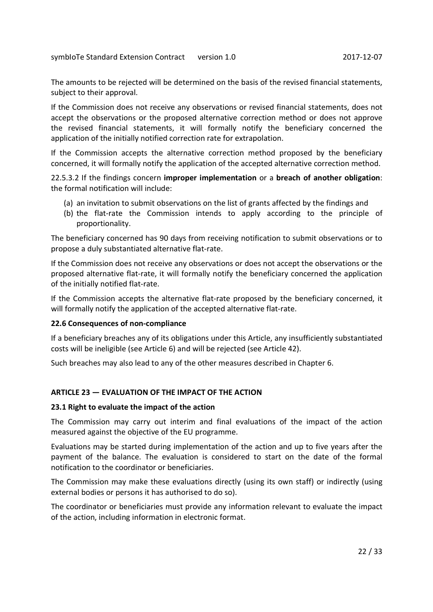The amounts to be rejected will be determined on the basis of the revised financial statements, subject to their approval.

If the Commission does not receive any observations or revised financial statements, does not accept the observations or the proposed alternative correction method or does not approve the revised financial statements, it will formally notify the beneficiary concerned the application of the initially notified correction rate for extrapolation.

If the Commission accepts the alternative correction method proposed by the beneficiary concerned, it will formally notify the application of the accepted alternative correction method.

22.5.3.2 If the findings concern **improper implementation** or a **breach of another obligation**: the formal notification will include:

- (a) an invitation to submit observations on the list of grants affected by the findings and
- (b) the flat-rate the Commission intends to apply according to the principle of proportionality.

The beneficiary concerned has 90 days from receiving notification to submit observations or to propose a duly substantiated alternative flat-rate.

If the Commission does not receive any observations or does not accept the observations or the proposed alternative flat-rate, it will formally notify the beneficiary concerned the application of the initially notified flat-rate.

If the Commission accepts the alternative flat-rate proposed by the beneficiary concerned, it will formally notify the application of the accepted alternative flat-rate.

## **22.6 Consequences of non-compliance**

If a beneficiary breaches any of its obligations under this Article, any insufficiently substantiated costs will be ineligible (see Article 6) and will be rejected (see Article 42).

Such breaches may also lead to any of the other measures described in Chapter 6.

## **ARTICLE 23 — EVALUATION OF THE IMPACT OF THE ACTION**

#### **23.1 Right to evaluate the impact of the action**

The Commission may carry out interim and final evaluations of the impact of the action measured against the objective of the EU programme.

Evaluations may be started during implementation of the action and up to five years after the payment of the balance. The evaluation is considered to start on the date of the formal notification to the coordinator or beneficiaries.

The Commission may make these evaluations directly (using its own staff) or indirectly (using external bodies or persons it has authorised to do so).

The coordinator or beneficiaries must provide any information relevant to evaluate the impact of the action, including information in electronic format.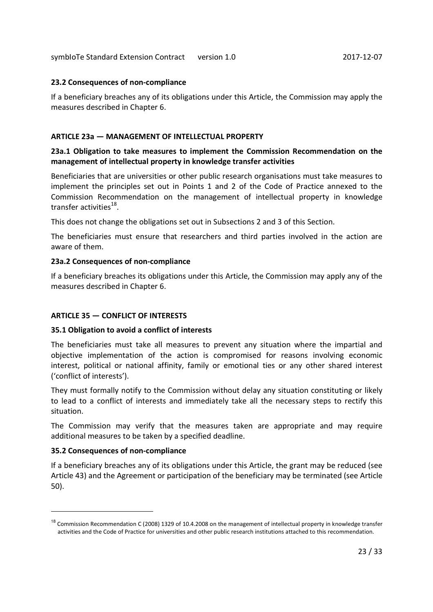## **23.2 Consequences of non-compliance**

If a beneficiary breaches any of its obligations under this Article, the Commission may apply the measures described in Chapter 6.

## **ARTICLE 23a — MANAGEMENT OF INTELLECTUAL PROPERTY**

## **23a.1 Obligation to take measures to implement the Commission Recommendation on the management of intellectual property in knowledge transfer activities**

Beneficiaries that are universities or other public research organisations must take measures to implement the principles set out in Points 1 and 2 of the Code of Practice annexed to the Commission Recommendation on the management of intellectual property in knowledge transfer activities<sup>18</sup>.

This does not change the obligations set out in Subsections 2 and 3 of this Section.

The beneficiaries must ensure that researchers and third parties involved in the action are aware of them.

## **23a.2 Consequences of non-compliance**

If a beneficiary breaches its obligations under this Article, the Commission may apply any of the measures described in Chapter 6.

## **ARTICLE 35 — CONFLICT OF INTERESTS**

## **35.1 Obligation to avoid a conflict of interests**

The beneficiaries must take all measures to prevent any situation where the impartial and objective implementation of the action is compromised for reasons involving economic interest, political or national affinity, family or emotional ties or any other shared interest ('conflict of interests').

They must formally notify to the Commission without delay any situation constituting or likely to lead to a conflict of interests and immediately take all the necessary steps to rectify this situation.

The Commission may verify that the measures taken are appropriate and may require additional measures to be taken by a specified deadline.

## **35.2 Consequences of non-compliance**

1

If a beneficiary breaches any of its obligations under this Article, the grant may be reduced (see Article 43) and the Agreement or participation of the beneficiary may be terminated (see Article 50).

<sup>&</sup>lt;sup>18</sup> Commission Recommendation C (2008) 1329 of 10.4.2008 on the management of intellectual property in knowledge transfer activities and the Code of Practice for universities and other public research institutions attached to this recommendation.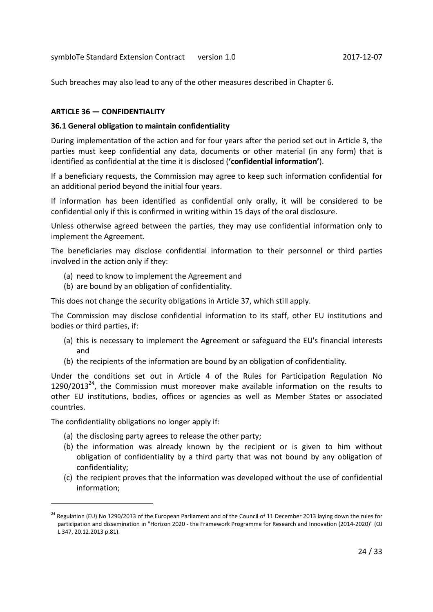Such breaches may also lead to any of the other measures described in Chapter 6.

## **ARTICLE 36 — CONFIDENTIALITY**

#### **36.1 General obligation to maintain confidentiality**

During implementation of the action and for four years after the period set out in Article 3, the parties must keep confidential any data, documents or other material (in any form) that is identified as confidential at the time it is disclosed (**'confidential information'**).

If a beneficiary requests, the Commission may agree to keep such information confidential for an additional period beyond the initial four years.

If information has been identified as confidential only orally, it will be considered to be confidential only if this is confirmed in writing within 15 days of the oral disclosure.

Unless otherwise agreed between the parties, they may use confidential information only to implement the Agreement.

The beneficiaries may disclose confidential information to their personnel or third parties involved in the action only if they:

- (a) need to know to implement the Agreement and
- (b) are bound by an obligation of confidentiality.

This does not change the security obligations in Article 37, which still apply.

The Commission may disclose confidential information to its staff, other EU institutions and bodies or third parties, if:

- (a) this is necessary to implement the Agreement or safeguard the EU's financial interests and
- (b) the recipients of the information are bound by an obligation of confidentiality.

Under the conditions set out in Article 4 of the Rules for Participation Regulation No 1290/2013<sup>24</sup>, the Commission must moreover make available information on the results to other EU institutions, bodies, offices or agencies as well as Member States or associated countries.

The confidentiality obligations no longer apply if:

1

- (a) the disclosing party agrees to release the other party;
- (b) the information was already known by the recipient or is given to him without obligation of confidentiality by a third party that was not bound by any obligation of confidentiality;
- (c) the recipient proves that the information was developed without the use of confidential information;

<sup>&</sup>lt;sup>24</sup> Regulation (EU) No 1290/2013 of the European Parliament and of the Council of 11 December 2013 laying down the rules for participation and dissemination in "Horizon 2020 - the Framework Programme for Research and Innovation (2014-2020)" (OJ L 347, 20.12.2013 p.81).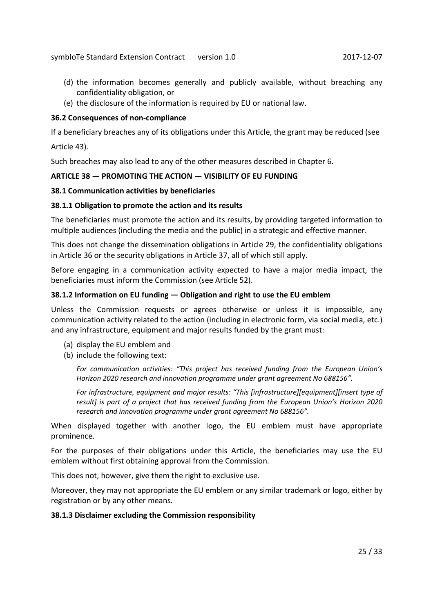- (d) the information becomes generally and publicly available, without breaching any confidentiality obligation, or
- (e) the disclosure of the information is required by EU or national law.

## **36.2 Consequences of non-compliance**

If a beneficiary breaches any of its obligations under this Article, the grant may be reduced (see Article 43).

Such breaches may also lead to any of the other measures described in Chapter 6.

## **ARTICLE 38 — PROMOTING THE ACTION — VISIBILITY OF EU FUNDING**

#### **38.1 Communication activities by beneficiaries**

#### **38.1.1 Obligation to promote the action and its results**

The beneficiaries must promote the action and its results, by providing targeted information to multiple audiences (including the media and the public) in a strategic and effective manner.

This does not change the dissemination obligations in Article 29, the confidentiality obligations in Article 36 or the security obligations in Article 37, all of which still apply.

Before engaging in a communication activity expected to have a major media impact, the beneficiaries must inform the Commission (see Article 52).

#### **38.1.2 Information on EU funding — Obligation and right to use the EU emblem**

Unless the Commission requests or agrees otherwise or unless it is impossible, any communication activity related to the action (including in electronic form, via social media, etc.) and any infrastructure, equipment and major results funded by the grant must:

- (a) display the EU emblem and
- (b) include the following text:

*For communication activities: "This project has received funding from the European Union's Horizon 2020 research and innovation programme under grant agreement No 688156".* 

*For infrastructure, equipment and major results: "This [infrastructure][equipment][insert type of result] is part of a project that has received funding from the European Union's Horizon 2020 research and innovation programme under grant agreement No 688156".* 

When displayed together with another logo, the EU emblem must have appropriate prominence.

For the purposes of their obligations under this Article, the beneficiaries may use the EU emblem without first obtaining approval from the Commission.

This does not, however, give them the right to exclusive use.

Moreover, they may not appropriate the EU emblem or any similar trademark or logo, either by registration or by any other means.

#### **38.1.3 Disclaimer excluding the Commission responsibility**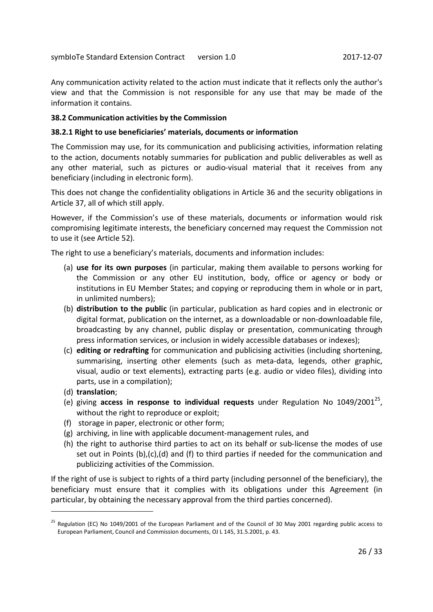Any communication activity related to the action must indicate that it reflects only the author's view and that the Commission is not responsible for any use that may be made of the information it contains.

## **38.2 Communication activities by the Commission**

## **38.2.1 Right to use beneficiaries' materials, documents or information**

The Commission may use, for its communication and publicising activities, information relating to the action, documents notably summaries for publication and public deliverables as well as any other material, such as pictures or audio-visual material that it receives from any beneficiary (including in electronic form).

This does not change the confidentiality obligations in Article 36 and the security obligations in Article 37, all of which still apply.

However, if the Commission's use of these materials, documents or information would risk compromising legitimate interests, the beneficiary concerned may request the Commission not to use it (see Article 52).

The right to use a beneficiary's materials, documents and information includes:

- (a) **use for its own purposes** (in particular, making them available to persons working for the Commission or any other EU institution, body, office or agency or body or institutions in EU Member States; and copying or reproducing them in whole or in part, in unlimited numbers);
- (b) **distribution to the public** (in particular, publication as hard copies and in electronic or digital format, publication on the internet, as a downloadable or non-downloadable file, broadcasting by any channel, public display or presentation, communicating through press information services, or inclusion in widely accessible databases or indexes);
- (c) **editing or redrafting** for communication and publicising activities (including shortening, summarising, inserting other elements (such as meta-data, legends, other graphic, visual, audio or text elements), extracting parts (e.g. audio or video files), dividing into parts, use in a compilation);
- (d) **translation**;

1

- (e) giving access in response to individual requests under Regulation No 1049/2001<sup>25</sup>, without the right to reproduce or exploit;
- (f) storage in paper, electronic or other form;
- (g) archiving, in line with applicable document-management rules, and
- (h) the right to authorise third parties to act on its behalf or sub-license the modes of use set out in Points  $(b),(c),(d)$  and  $(f)$  to third parties if needed for the communication and publicizing activities of the Commission.

If the right of use is subject to rights of a third party (including personnel of the beneficiary), the beneficiary must ensure that it complies with its obligations under this Agreement (in particular, by obtaining the necessary approval from the third parties concerned).

<sup>&</sup>lt;sup>25</sup> Regulation (EC) No 1049/2001 of the European Parliament and of the Council of 30 May 2001 regarding public access to European Parliament, Council and Commission documents, OJ L 145, 31.5.2001, p. 43.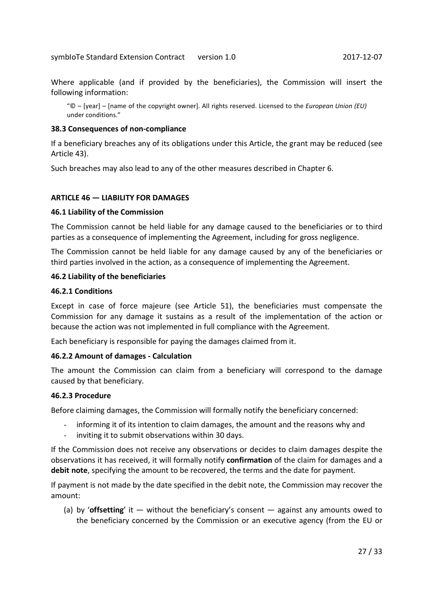Where applicable (and if provided by the beneficiaries), the Commission will insert the following information:

"© – [year] – [name of the copyright owner]. All rights reserved. Licensed to the *European Union (EU)* under conditions."

#### **38.3 Consequences of non-compliance**

If a beneficiary breaches any of its obligations under this Article, the grant may be reduced (see Article 43).

Such breaches may also lead to any of the other measures described in Chapter 6.

#### **ARTICLE 46 — LIABILITY FOR DAMAGES**

#### **46.1 Liability of the Commission**

The Commission cannot be held liable for any damage caused to the beneficiaries or to third parties as a consequence of implementing the Agreement, including for gross negligence.

The Commission cannot be held liable for any damage caused by any of the beneficiaries or third parties involved in the action, as a consequence of implementing the Agreement.

#### **46.2 Liability of the beneficiaries**

#### **46.2.1 Conditions**

Except in case of force majeure (see Article 51), the beneficiaries must compensate the Commission for any damage it sustains as a result of the implementation of the action or because the action was not implemented in full compliance with the Agreement.

Each beneficiary is responsible for paying the damages claimed from it.

#### **46.2.2 Amount of damages - Calculation**

The amount the Commission can claim from a beneficiary will correspond to the damage caused by that beneficiary.

#### **46.2.3 Procedure**

Before claiming damages, the Commission will formally notify the beneficiary concerned:

- informing it of its intention to claim damages, the amount and the reasons why and
- inviting it to submit observations within 30 days.

If the Commission does not receive any observations or decides to claim damages despite the observations it has received, it will formally notify **confirmation** of the claim for damages and a **debit note**, specifying the amount to be recovered, the terms and the date for payment.

If payment is not made by the date specified in the debit note, the Commission may recover the amount:

(a) by '**offsetting**' it — without the beneficiary's consent — against any amounts owed to the beneficiary concerned by the Commission or an executive agency (from the EU or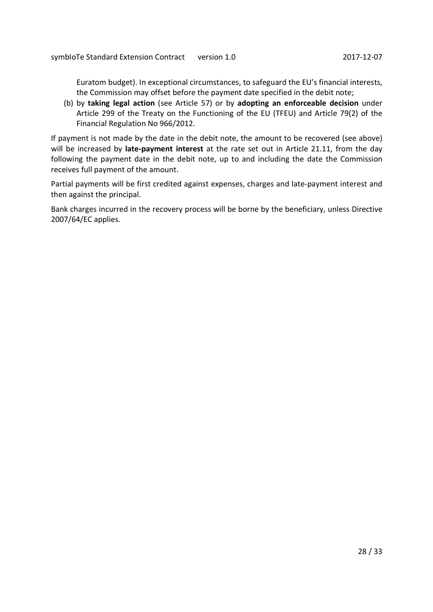Euratom budget). In exceptional circumstances, to safeguard the EU's financial interests, the Commission may offset before the payment date specified in the debit note;

(b) by **taking legal action** (see Article 57) or by **adopting an enforceable decision** under Article 299 of the Treaty on the Functioning of the EU (TFEU) and Article 79(2) of the Financial Regulation No 966/2012.

If payment is not made by the date in the debit note, the amount to be recovered (see above) will be increased by **late-payment interest** at the rate set out in Article 21.11, from the day following the payment date in the debit note, up to and including the date the Commission receives full payment of the amount.

Partial payments will be first credited against expenses, charges and late-payment interest and then against the principal.

Bank charges incurred in the recovery process will be borne by the beneficiary, unless Directive 2007/64/EC applies.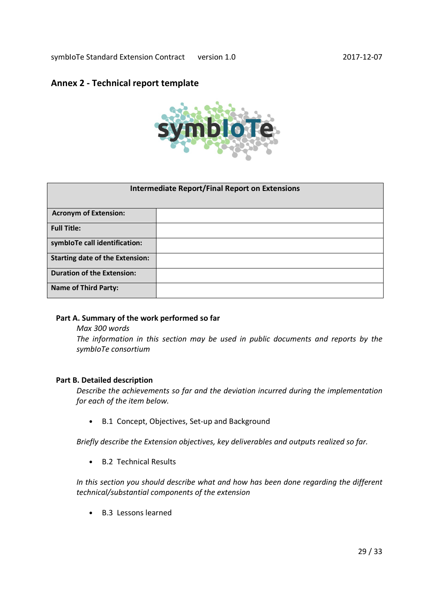# **Annex 2 - Technical report template**



| <b>Intermediate Report/Final Report on Extensions</b> |  |
|-------------------------------------------------------|--|
| <b>Acronym of Extension:</b>                          |  |
| <b>Full Title:</b>                                    |  |
| symbloTe call identification:                         |  |
| <b>Starting date of the Extension:</b>                |  |
| <b>Duration of the Extension:</b>                     |  |
| <b>Name of Third Party:</b>                           |  |

#### **Part A. Summary of the work performed so far**

*Max 300 words The information in this section may be used in public documents and reports by the symbIoTe consortium* 

## **Part B. Detailed description**

*Describe the achievements so far and the deviation incurred during the implementation for each of the item below.* 

• B.1 Concept, Objectives, Set-up and Background

*Briefly describe the Extension objectives, key deliverables and outputs realized so far.* 

• B.2 Technical Results

*In this section you should describe what and how has been done regarding the different technical/substantial components of the extension* 

• B.3 Lessons learned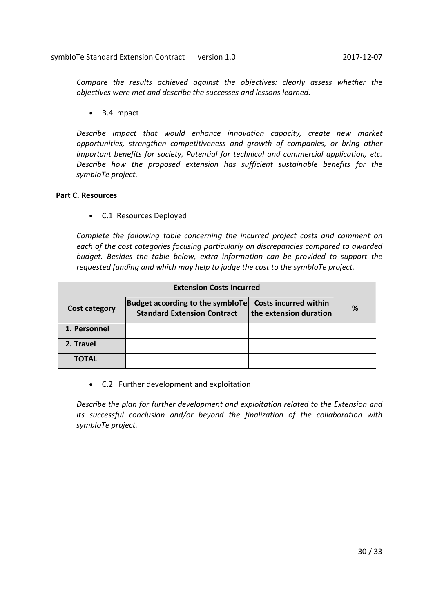*Compare the results achieved against the objectives: clearly assess whether the objectives were met and describe the successes and lessons learned.* 

• B.4 Impact

*Describe Impact that would enhance innovation capacity, create new market opportunities, strengthen competitiveness and growth of companies, or bring other important benefits for society, Potential for technical and commercial application, etc. Describe how the proposed extension has sufficient sustainable benefits for the symbIoTe project.* 

## **Part C. Resources**

• C.1 Resources Deployed

*Complete the following table concerning the incurred project costs and comment on each of the cost categories focusing particularly on discrepancies compared to awarded budget. Besides the table below, extra information can be provided to support the requested funding and which may help to judge the cost to the symbIoTe project.* 

| <b>Extension Costs Incurred</b> |                                                                        |                                                        |   |
|---------------------------------|------------------------------------------------------------------------|--------------------------------------------------------|---|
| <b>Cost category</b>            | Budget according to the symbioTe<br><b>Standard Extension Contract</b> | <b>Costs incurred within</b><br>the extension duration | % |
| 1. Personnel                    |                                                                        |                                                        |   |
| 2. Travel                       |                                                                        |                                                        |   |
| <b>TOTAL</b>                    |                                                                        |                                                        |   |

• C.2 Further development and exploitation

*Describe the plan for further development and exploitation related to the Extension and its successful conclusion and/or beyond the finalization of the collaboration with symbIoTe project.*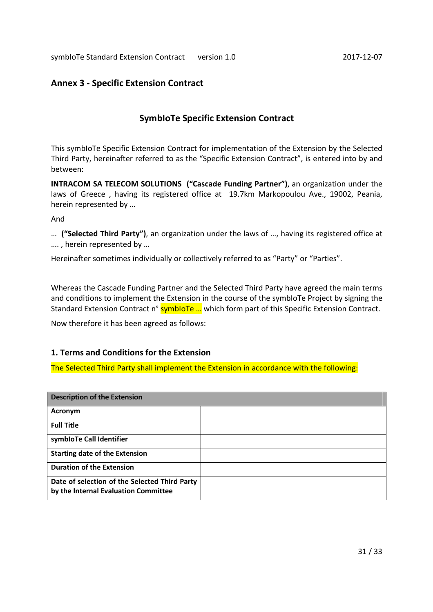# **Annex 3 - Specific Extension Contract**

# **SymbIoTe Specific Extension Contract**

This symbIoTe Specific Extension Contract for implementation of the Extension by the Selected Third Party, hereinafter referred to as the "Specific Extension Contract", is entered into by and between:

**INTRACOM SA TELECOM SOLUTIONS ("Cascade Funding Partner")**, an organization under the laws of Greece , having its registered office at 19.7km Markopoulou Ave., 19002, Peania, herein represented by …

And

… **("Selected Third Party")**, an organization under the laws of …, having its registered office at …. , herein represented by …

Hereinafter sometimes individually or collectively referred to as "Party" or "Parties".

Whereas the Cascade Funding Partner and the Selected Third Party have agreed the main terms and conditions to implement the Extension in the course of the symbIoTe Project by signing the Standard Extension Contract n° symbloTe ... which form part of this Specific Extension Contract.

Now therefore it has been agreed as follows:

## **1. Terms and Conditions for the Extension**

The Selected Third Party shall implement the Extension in accordance with the following:

| <b>Description of the Extension</b>                                                   |  |
|---------------------------------------------------------------------------------------|--|
| Acronym                                                                               |  |
| <b>Full Title</b>                                                                     |  |
| symbloTe Call Identifier                                                              |  |
| <b>Starting date of the Extension</b>                                                 |  |
| <b>Duration of the Extension</b>                                                      |  |
| Date of selection of the Selected Third Party<br>by the Internal Evaluation Committee |  |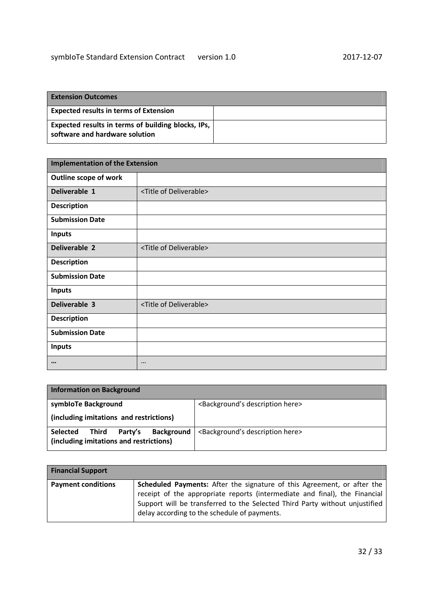| <b>Extension Outcomes</b>                                                            |  |
|--------------------------------------------------------------------------------------|--|
| <b>Expected results in terms of Extension</b>                                        |  |
| Expected results in terms of building blocks, IPs,<br>software and hardware solution |  |

| <b>Implementation of the Extension</b> |                                      |
|----------------------------------------|--------------------------------------|
| Outline scope of work                  |                                      |
| Deliverable 1                          | <title deliverable="" of=""></title> |
| <b>Description</b>                     |                                      |
| <b>Submission Date</b>                 |                                      |
| <b>Inputs</b>                          |                                      |
| Deliverable 2                          | <title deliverable="" of=""></title> |
| <b>Description</b>                     |                                      |
| <b>Submission Date</b>                 |                                      |
| <b>Inputs</b>                          |                                      |
| Deliverable 3                          | <title deliverable="" of=""></title> |
| <b>Description</b>                     |                                      |
| <b>Submission Date</b>                 |                                      |
| <b>Inputs</b>                          |                                      |
| $\bullet\bullet\bullet$                | $\cdots$                             |

| <b>Information on Background</b>                                                                    |                                                      |
|-----------------------------------------------------------------------------------------------------|------------------------------------------------------|
| symbioTe Background                                                                                 | <background's description="" here=""></background's> |
| (including imitations and restrictions)                                                             |                                                      |
| <b>Background</b><br>Party's<br><b>Selected</b><br>Third<br>(including imitations and restrictions) | <background's description="" here=""></background's> |

| <b>Financial Support</b>  |                                                                                                                                                                                                                                                                                             |
|---------------------------|---------------------------------------------------------------------------------------------------------------------------------------------------------------------------------------------------------------------------------------------------------------------------------------------|
| <b>Payment conditions</b> | <b>Scheduled Payments:</b> After the signature of this Agreement, or after the<br>receipt of the appropriate reports (intermediate and final), the Financial<br>Support will be transferred to the Selected Third Party without unjustified<br>delay according to the schedule of payments. |